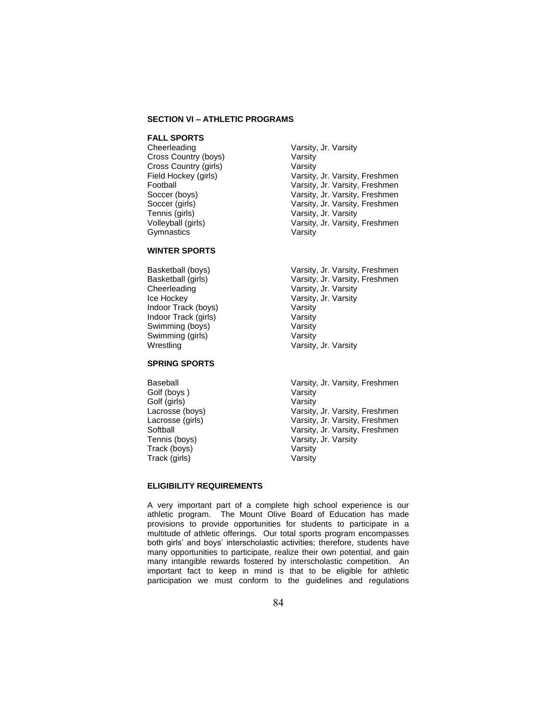# **SECTION VI – ATHLETIC PROGRAMS**

# **FALL SPORTS**

Cross Country (boys) Varsity Cross Country (girls) Varsity<br>
Field Hockey (girls) Varsity, Tennis (girls) Varsity, Jr. Varsity Gymnastics Varsity

# **WINTER SPORTS**

Cheerleading **Varsity, Jr. Varsity** Ice Hockey **Varsity, Jr. Varsity** Indoor Track (boys) Varsity Indoor Track (girls) Varsity Swimming (boys) Varsity Swimming (girls) Varsity Wrestling Wrestling Varsity, Jr. Varsity

### **SPRING SPORTS**

Golf (boys ) Varsity Golf (girls) Varsity Track (boys) Varsity Track (girls) Varsity

- Varsity, Jr. Varsity Field Hockey (girls) **Varsity, Jr. Varsity, Freshmen**<br>
Football **Football** Varsity, Jr. Varsity, Freshmen Varsity, Jr. Varsity, Freshmen Soccer (boys) Varsity, Jr. Varsity, Freshmen Soccer (girls) Varsity, Jr. Varsity, Freshmen Volleyball (girls) Varsity, Jr. Varsity, Freshmen
- Basketball (boys) <br>Basketball (girls) <br>Basketball (girls) <br>Varsity, Jr. Varsity, Freshmen Varsity, Jr. Varsity, Freshmen
- Baseball Varsity, Jr. Varsity, Freshmen Lacrosse (boys) Varsity, Jr. Varsity, Freshmen Lacrosse (girls) **Varsity, Jr. Varsity, Freshmen**<br>
Softball **Softball** Varsity, Jr. Varsity, Freshmen Varsity, Jr. Varsity, Freshmen Tennis (boys) Varsity, Jr. Varsity

#### **ELIGIBILITY REQUIREMENTS**

A very important part of a complete high school experience is our athletic program. The Mount Olive Board of Education has made provisions to provide opportunities for students to participate in a multitude of athletic offerings. Our total sports program encompasses both girls' and boys' interscholastic activities; therefore, students have many opportunities to participate, realize their own potential, and gain many intangible rewards fostered by interscholastic competition. An important fact to keep in mind is that to be eligible for athletic participation we must conform to the guidelines and regulations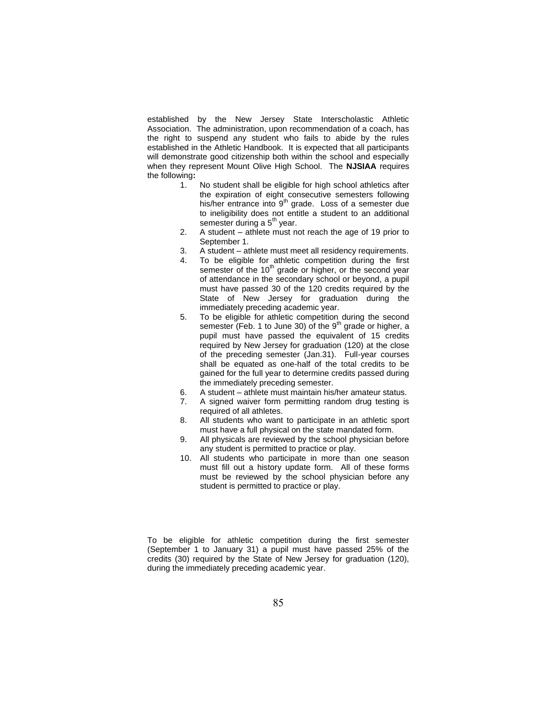established by the New Jersey State Interscholastic Athletic Association. The administration, upon recommendation of a coach, has the right to suspend any student who fails to abide by the rules established in the Athletic Handbook. It is expected that all participants will demonstrate good citizenship both within the school and especially when they represent Mount Olive High School. The **NJSIAA** requires the following**:**

- 1. No student shall be eligible for high school athletics after the expiration of eight consecutive semesters following his/her entrance into  $9<sup>th</sup>$  grade. Loss of a semester due to ineligibility does not entitle a student to an additional semester during a  $5<sup>th</sup>$  year.
- 2. A student athlete must not reach the age of 19 prior to September 1.
- 3. A student athlete must meet all residency requirements.
- 4. To be eligible for athletic competition during the first semester of the 10<sup>th</sup> grade or higher, or the second year of attendance in the secondary school or beyond, a pupil must have passed 30 of the 120 credits required by the State of New Jersey for graduation during the immediately preceding academic year.
- 5. To be eligible for athletic competition during the second semester (Feb. 1 to June 30) of the  $9<sup>th</sup>$  grade or higher, a pupil must have passed the equivalent of 15 credits required by New Jersey for graduation (120) at the close of the preceding semester (Jan.31). Full-year courses shall be equated as one-half of the total credits to be gained for the full year to determine credits passed during the immediately preceding semester.
- 6. A student athlete must maintain his/her amateur status.
- 7. A signed waiver form permitting random drug testing is required of all athletes.
- 8. All students who want to participate in an athletic sport must have a full physical on the state mandated form.
- 9. All physicals are reviewed by the school physician before any student is permitted to practice or play.
- 10. All students who participate in more than one season must fill out a history update form. All of these forms must be reviewed by the school physician before any student is permitted to practice or play.

To be eligible for athletic competition during the first semester (September 1 to January 31) a pupil must have passed 25% of the credits (30) required by the State of New Jersey for graduation (120), during the immediately preceding academic year.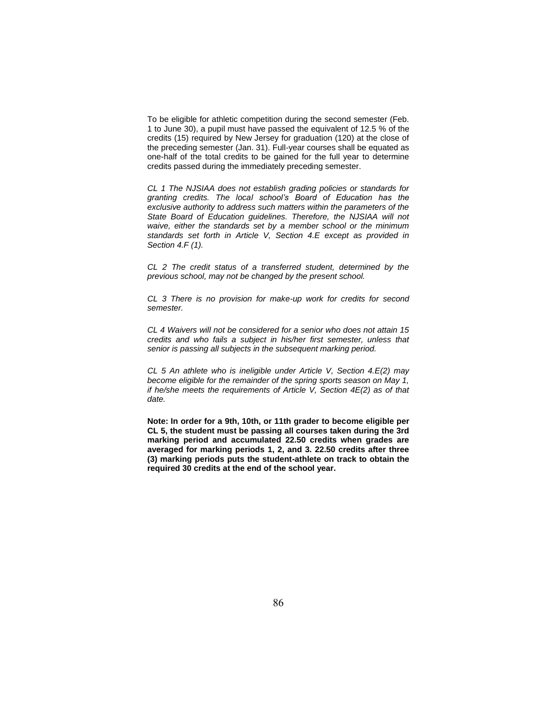To be eligible for athletic competition during the second semester (Feb. 1 to June 30), a pupil must have passed the equivalent of 12.5 % of the credits (15) required by New Jersey for graduation (120) at the close of the preceding semester (Jan. 31). Full-year courses shall be equated as one-half of the total credits to be gained for the full year to determine credits passed during the immediately preceding semester.

*CL 1 The NJSIAA does not establish grading policies or standards for granting credits. The local school's Board of Education has the exclusive authority to address such matters within the parameters of the*  State Board of Education guidelines. Therefore, the NJSIAA will not *waive, either the standards set by a member school or the minimum standards set forth in Article V, Section 4.E except as provided in Section 4.F (1).* 

*CL 2 The credit status of a transferred student, determined by the previous school, may not be changed by the present school.* 

*CL 3 There is no provision for make-up work for credits for second semester.* 

*CL 4 Waivers will not be considered for a senior who does not attain 15 credits and who fails a subject in his/her first semester, unless that senior is passing all subjects in the subsequent marking period.* 

*CL 5 An athlete who is ineligible under Article V, Section 4.E(2) may become eligible for the remainder of the spring sports season on May 1, if he/she meets the requirements of Article V, Section 4E(2) as of that date.* 

**Note: In order for a 9th, 10th, or 11th grader to become eligible per CL 5, the student must be passing all courses taken during the 3rd marking period and accumulated 22.50 credits when grades are averaged for marking periods 1, 2, and 3. 22.50 credits after three (3) marking periods puts the student-athlete on track to obtain the required 30 credits at the end of the school year.**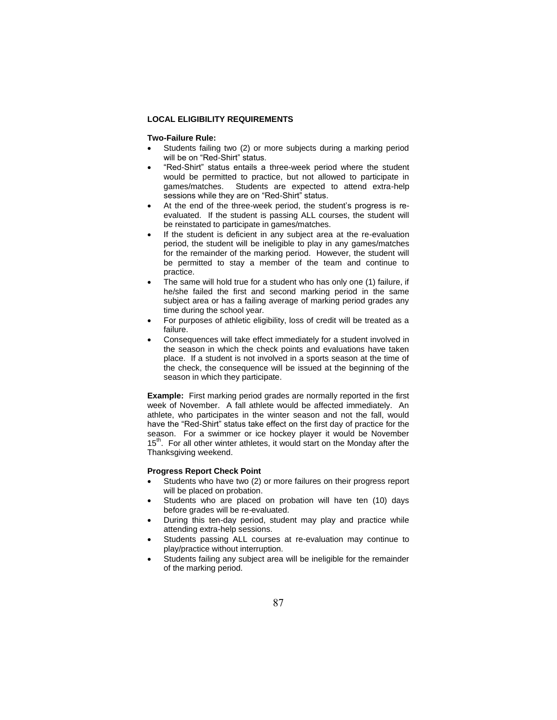# **LOCAL ELIGIBILITY REQUIREMENTS**

### **Two-Failure Rule:**

- Students failing two (2) or more subjects during a marking period will be on "Red-Shirt" status.
- "Red-Shirt" status entails a three-week period where the student would be permitted to practice, but not allowed to participate in games/matches. Students are expected to attend extra-help sessions while they are on "Red-Shirt" status.
- At the end of the three-week period, the student's progress is reevaluated. If the student is passing ALL courses, the student will be reinstated to participate in games/matches.
- If the student is deficient in any subject area at the re-evaluation period, the student will be ineligible to play in any games/matches for the remainder of the marking period. However, the student will be permitted to stay a member of the team and continue to practice.
- The same will hold true for a student who has only one (1) failure, if he/she failed the first and second marking period in the same subject area or has a failing average of marking period grades any time during the school year.
- For purposes of athletic eligibility, loss of credit will be treated as a failure.
- Consequences will take effect immediately for a student involved in the season in which the check points and evaluations have taken place. If a student is not involved in a sports season at the time of the check, the consequence will be issued at the beginning of the season in which they participate.

**Example:** First marking period grades are normally reported in the first week of November. A fall athlete would be affected immediately. An athlete, who participates in the winter season and not the fall, would have the "Red-Shirt" status take effect on the first day of practice for the season. For a swimmer or ice hockey player it would be November 15<sup>th</sup>. For all other winter athletes, it would start on the Monday after the Thanksgiving weekend.

# **Progress Report Check Point**

- Students who have two (2) or more failures on their progress report will be placed on probation.
- Students who are placed on probation will have ten (10) days before grades will be re-evaluated.
- During this ten-day period, student may play and practice while attending extra-help sessions.
- Students passing ALL courses at re-evaluation may continue to play/practice without interruption.
- Students failing any subject area will be ineligible for the remainder of the marking period.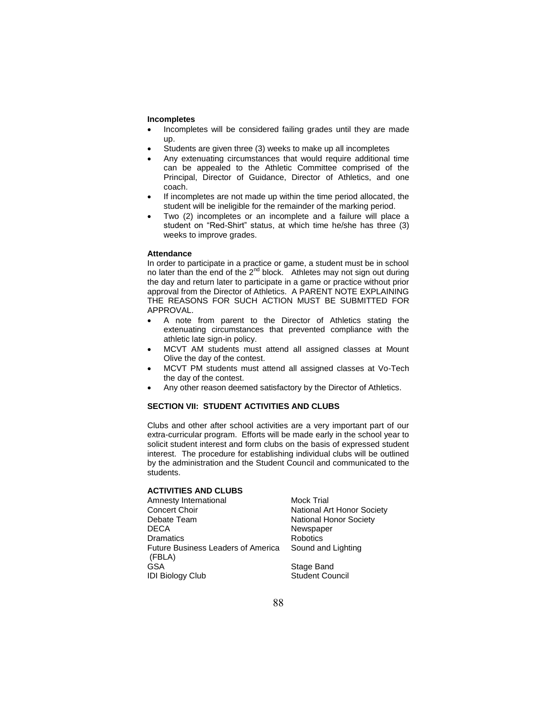#### **Incompletes**

- Incompletes will be considered failing grades until they are made up.
- Students are given three (3) weeks to make up all incompletes
- Any extenuating circumstances that would require additional time can be appealed to the Athletic Committee comprised of the Principal, Director of Guidance, Director of Athletics, and one coach.
- If incompletes are not made up within the time period allocated, the student will be ineligible for the remainder of the marking period.
- Two (2) incompletes or an incomplete and a failure will place a student on "Red-Shirt" status, at which time he/she has three (3) weeks to improve grades.

#### **Attendance**

In order to participate in a practice or game, a student must be in school no later than the end of the 2<sup>nd</sup> block. Athletes may not sign out during the day and return later to participate in a game or practice without prior approval from the Director of Athletics. A PARENT NOTE EXPLAINING THE REASONS FOR SUCH ACTION MUST BE SUBMITTED FOR APPROVAL.

- A note from parent to the Director of Athletics stating the extenuating circumstances that prevented compliance with the athletic late sign-in policy.
- MCVT AM students must attend all assigned classes at Mount Olive the day of the contest.
- MCVT PM students must attend all assigned classes at Vo-Tech the day of the contest.
- Any other reason deemed satisfactory by the Director of Athletics.

# **SECTION VII: STUDENT ACTIVITIES AND CLUBS**

Clubs and other after school activities are a very important part of our extra-curricular program. Efforts will be made early in the school year to solicit student interest and form clubs on the basis of expressed student interest. The procedure for establishing individual clubs will be outlined by the administration and the Student Council and communicated to the students.

# **ACTIVITIES AND CLUBS**

Amnesty International Mock Trial<br>Concert Choir Concert Choir Concert Choir **National Art Honor Society**<br>
Debate Team **National Honor Society** DECA Newspaper Dramatics Robotics Future Business Leaders of America (FBLA) GSA Stage Band **IDI Biology Club** Student Council

National Honor Society Sound and Lighting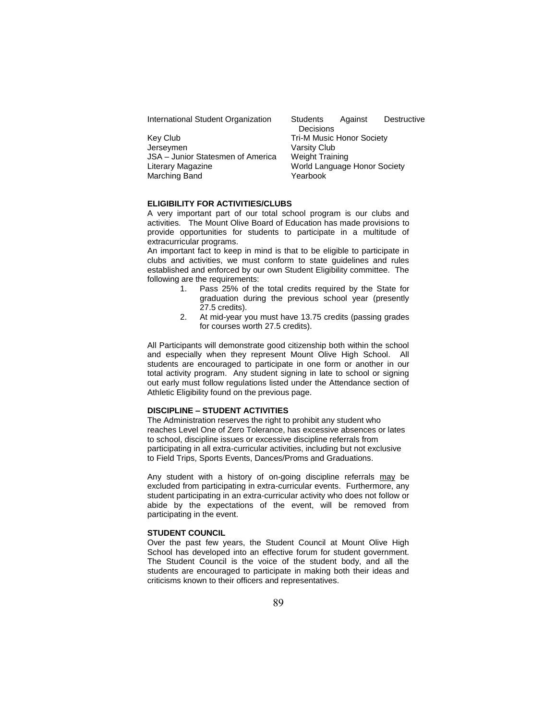| International Student Organization | <b>Students</b>                  | Against | Destructive |
|------------------------------------|----------------------------------|---------|-------------|
|                                    | Decisions                        |         |             |
| Key Club                           | <b>Tri-M Music Honor Society</b> |         |             |
| Jerseymen                          | Varsity Club                     |         |             |
| JSA - Junior Statesmen of America  | <b>Weight Training</b>           |         |             |
| Literary Magazine                  | World Language Honor Society     |         |             |
| Marching Band                      | Yearbook                         |         |             |
|                                    |                                  |         |             |

#### **ELIGIBILITY FOR ACTIVITIES/CLUBS**

A very important part of our total school program is our clubs and activities. The Mount Olive Board of Education has made provisions to provide opportunities for students to participate in a multitude of extracurricular programs.

An important fact to keep in mind is that to be eligible to participate in clubs and activities, we must conform to state guidelines and rules established and enforced by our own Student Eligibility committee. The following are the requirements:<br>1. Pass 25% of the

- Pass 25% of the total credits required by the State for graduation during the previous school year (presently 27.5 credits).
- 2. At mid-year you must have 13.75 credits (passing grades for courses worth 27.5 credits).

All Participants will demonstrate good citizenship both within the school and especially when they represent Mount Olive High School. All students are encouraged to participate in one form or another in our total activity program. Any student signing in late to school or signing out early must follow regulations listed under the Attendance section of Athletic Eligibility found on the previous page.

# **DISCIPLINE – STUDENT ACTIVITIES**

The Administration reserves the right to prohibit any student who reaches Level One of Zero Tolerance, has excessive absences or lates to school, discipline issues or excessive discipline referrals from participating in all extra-curricular activities, including but not exclusive to Field Trips, Sports Events, Dances/Proms and Graduations.

Any student with a history of on-going discipline referrals may be excluded from participating in extra-curricular events. Furthermore, any student participating in an extra-curricular activity who does not follow or abide by the expectations of the event, will be removed from participating in the event.

#### **STUDENT COUNCIL**

Over the past few years, the Student Council at Mount Olive High School has developed into an effective forum for student government. The Student Council is the voice of the student body, and all the students are encouraged to participate in making both their ideas and criticisms known to their officers and representatives.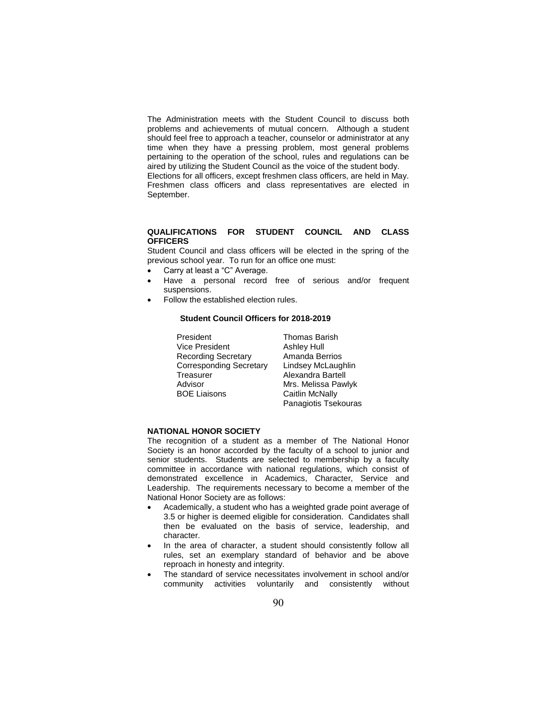The Administration meets with the Student Council to discuss both problems and achievements of mutual concern. Although a student should feel free to approach a teacher, counselor or administrator at any time when they have a pressing problem, most general problems pertaining to the operation of the school, rules and regulations can be aired by utilizing the Student Council as the voice of the student body.

Elections for all officers, except freshmen class officers, are held in May. Freshmen class officers and class representatives are elected in September.

#### **QUALIFICATIONS FOR STUDENT COUNCIL AND CLASS OFFICERS**

Student Council and class officers will be elected in the spring of the previous school year. To run for an office one must:

- Carry at least a "C" Average.
- Have a personal record free of serious and/or frequent suspensions.
- Follow the established election rules.

### **Student Council Officers for 2018-2019**

President Thomas Barish Vice President Ashley Hull Recording Secretary Corresponding Secretary<br>Treasurer Advisor BOE Liaisons

Amanda Berrios Lindsey McLaughlin Alexandra Bartell Mrs. Melissa Pawlyk Caitlin McNally Panagiotis Tsekouras

# **NATIONAL HONOR SOCIETY**

The recognition of a student as a member of The National Honor Society is an honor accorded by the faculty of a school to junior and senior students. Students are selected to membership by a faculty committee in accordance with national regulations, which consist of demonstrated excellence in Academics, Character, Service and Leadership. The requirements necessary to become a member of the National Honor Society are as follows:

- Academically, a student who has a weighted grade point average of 3.5 or higher is deemed eligible for consideration. Candidates shall then be evaluated on the basis of service, leadership, and character.
- In the area of character, a student should consistently follow all rules, set an exemplary standard of behavior and be above reproach in honesty and integrity.
- The standard of service necessitates involvement in school and/or community activities voluntarily and consistently without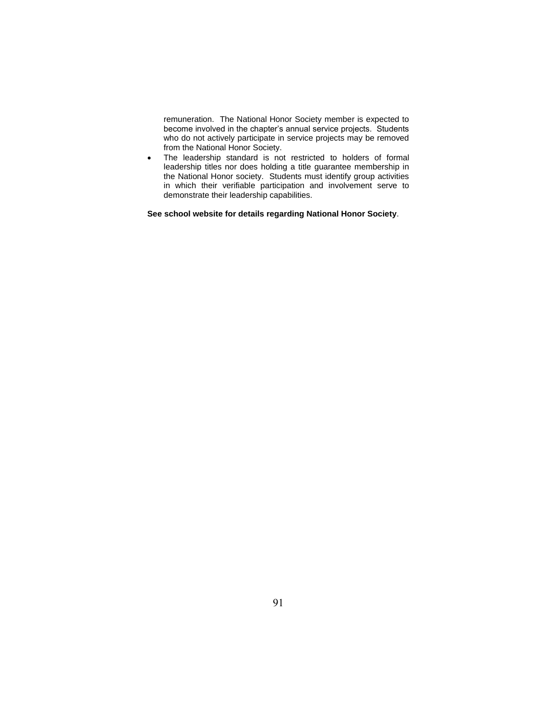remuneration. The National Honor Society member is expected to become involved in the chapter's annual service projects. Students who do not actively participate in service projects may be removed from the National Honor Society.

• The leadership standard is not restricted to holders of formal leadership titles nor does holding a title guarantee membership in the National Honor society. Students must identify group activities in which their verifiable participation and involvement serve to demonstrate their leadership capabilities.

**See school website for details regarding National Honor Society**.